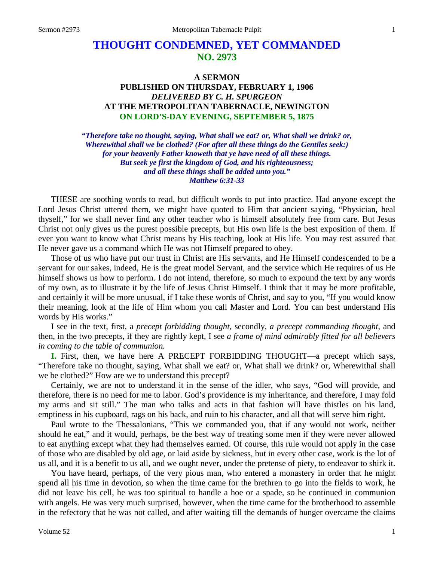# **THOUGHT CONDEMNED, YET COMMANDED NO. 2973**

## **A SERMON PUBLISHED ON THURSDAY, FEBRUARY 1, 1906** *DELIVERED BY C. H. SPURGEON* **AT THE METROPOLITAN TABERNACLE, NEWINGTON ON LORD'S-DAY EVENING, SEPTEMBER 5, 1875**

*"Therefore take no thought, saying, What shall we eat? or, What shall we drink? or, Wherewithal shall we be clothed? (For after all these things do the Gentiles seek:) for your heavenly Father knoweth that ye have need of all these things. But seek ye first the kingdom of God, and his righteousness; and all these things shall be added unto you." Matthew 6:31-33*

THESE are soothing words to read, but difficult words to put into practice. Had anyone except the Lord Jesus Christ uttered them, we might have quoted to Him that ancient saying, "Physician, heal thyself," for we shall never find any other teacher who is himself absolutely free from care. But Jesus Christ not only gives us the purest possible precepts, but His own life is the best exposition of them. If ever you want to know what Christ means by His teaching, look at His life. You may rest assured that He never gave us a command which He was not Himself prepared to obey.

Those of us who have put our trust in Christ are His servants, and He Himself condescended to be a servant for our sakes, indeed, He is the great model Servant, and the service which He requires of us He himself shows us how to perform. I do not intend, therefore, so much to expound the text by any words of my own, as to illustrate it by the life of Jesus Christ Himself. I think that it may be more profitable, and certainly it will be more unusual, if I take these words of Christ, and say to you, "If you would know their meaning, look at the life of Him whom you call Master and Lord. You can best understand His words by His works."

I see in the text, first, a *precept forbidding thought,* secondly, *a precept commanding thought,* and then, in the two precepts, if they are rightly kept, I see *a frame of mind admirably fitted for all believers in coming to the table of communion.*

**I.** First, then, we have here A PRECEPT FORBIDDING THOUGHT—a precept which says, "Therefore take no thought, saying, What shall we eat? or, What shall we drink? or, Wherewithal shall we be clothed?" How are we to understand this precept?

Certainly, we are not to understand it in the sense of the idler, who says, "God will provide, and therefore, there is no need for me to labor. God's providence is my inheritance, and therefore, I may fold my arms and sit still." The man who talks and acts in that fashion will have thistles on his land, emptiness in his cupboard, rags on his back, and ruin to his character, and all that will serve him right.

Paul wrote to the Thessalonians, "This we commanded you, that if any would not work, neither should he eat," and it would, perhaps, be the best way of treating some men if they were never allowed to eat anything except what they had themselves earned. Of course, this rule would not apply in the case of those who are disabled by old age, or laid aside by sickness, but in every other case, work is the lot of us all, and it is a benefit to us all, and we ought never, under the pretense of piety, to endeavor to shirk it.

You have heard, perhaps, of the very pious man, who entered a monastery in order that he might spend all his time in devotion, so when the time came for the brethren to go into the fields to work, he did not leave his cell, he was too spiritual to handle a hoe or a spade, so he continued in communion with angels. He was very much surprised, however, when the time came for the brotherhood to assemble in the refectory that he was not called, and after waiting till the demands of hunger overcame the claims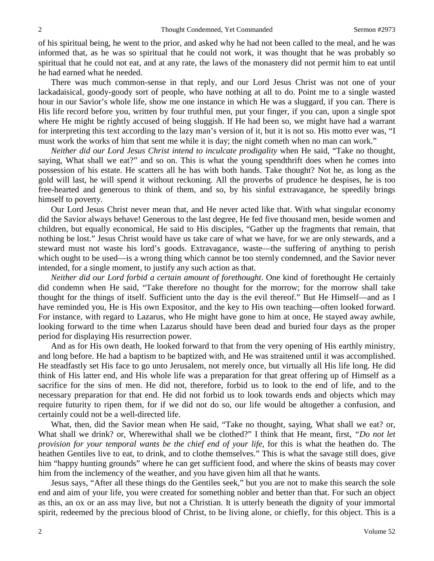of his spiritual being, he went to the prior, and asked why he had not been called to the meal, and he was informed that, as he was so spiritual that he could not work, it was thought that he was probably so spiritual that he could not eat, and at any rate, the laws of the monastery did not permit him to eat until he had earned what he needed.

There was much common-sense in that reply, and our Lord Jesus Christ was not one of your lackadaisical, goody-goody sort of people, who have nothing at all to do. Point me to a single wasted hour in our Savior's whole life, show me one instance in which He was a sluggard, if you can. There is His life record before you, written by four truthful men, put your finger, if you can, upon a single spot where He might be rightly accused of being sluggish. If He had been so, we might have had a warrant for interpreting this text according to the lazy man's version of it, but it is not so. His motto ever was, "I must work the works of him that sent me while it is day; the night cometh when no man can work."

*Neither did our Lord Jesus Christ intend to inculcate prodigality* when He said, "Take no thought, saying, What shall we eat?" and so on. This is what the young spendthrift does when he comes into possession of his estate. He scatters all he has with both hands. Take thought? Not he, as long as the gold will last, he will spend it without reckoning. All the proverbs of prudence he despises, he is too free-hearted and generous to think of them, and so, by his sinful extravagance, he speedily brings himself to poverty.

Our Lord Jesus Christ never mean that, and He never acted like that. With what singular economy did the Savior always behave! Generous to the last degree, He fed five thousand men, beside women and children, but equally economical, He said to His disciples, "Gather up the fragments that remain, that nothing be lost." Jesus Christ would have us take care of what we have, for we are only stewards, and a steward must not waste his lord's goods. Extravagance, waste—the suffering of anything to perish which ought to be used—is a wrong thing which cannot be too sternly condemned, and the Savior never intended, for a single moment, to justify any such action as that.

*Neither did our Lord forbid a certain amount of forethought*. One kind of forethought He certainly did condemn when He said, "Take therefore no thought for the morrow; for the morrow shall take thought for the things of itself. Sufficient unto the day is the evil thereof." But He Himself—and as I have reminded you, He is His own Expositor, and the key to His own teaching—often looked forward. For instance, with regard to Lazarus, who He might have gone to him at once, He stayed away awhile, looking forward to the time when Lazarus should have been dead and buried four days as the proper period for displaying His resurrection power.

And as for His own death, He looked forward to that from the very opening of His earthly ministry, and long before. He had a baptism to be baptized with, and He was straitened until it was accomplished. He steadfastly set His face to go unto Jerusalem, not merely once, but virtually all His life long. He did think of His latter end, and His whole life was a preparation for that great offering up of Himself as a sacrifice for the sins of men. He did not, therefore, forbid us to look to the end of life, and to the necessary preparation for that end. He did not forbid us to look towards ends and objects which may require futurity to ripen them, for if we did not do so, our life would be altogether a confusion, and certainly could not be a well-directed life.

What, then, did the Savior mean when He said, "Take no thought, saying, What shall we eat? or, What shall we drink? or, Wherewithal shall we be clothed?" I think that He meant, first, *"Do not let provision for your temporal wants be the chief end of your life,* for this is what the heathen do. The heathen Gentiles live to eat, to drink, and to clothe themselves." This is what the savage still does, give him "happy hunting grounds" where he can get sufficient food, and where the skins of beasts may cover him from the inclemency of the weather, and you have given him all that he wants.

Jesus says, "After all these things do the Gentiles seek," but you are not to make this search the sole end and aim of your life, you were created for something nobler and better than that. For such an object as this, an ox or an ass may live, but not a Christian. It is utterly beneath the dignity of your immortal spirit, redeemed by the precious blood of Christ, to be living alone, or chiefly, for this object. This is a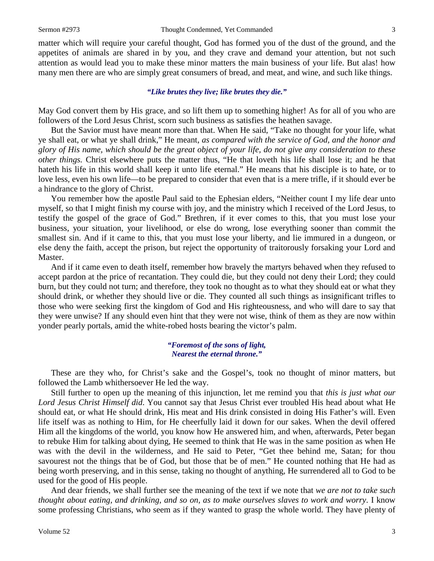matter which will require your careful thought, God has formed you of the dust of the ground, and the appetites of animals are shared in by you, and they crave and demand your attention, but not such attention as would lead you to make these minor matters the main business of your life. But alas! how many men there are who are simply great consumers of bread, and meat, and wine, and such like things.

### *"Like brutes they live; like brutes they die."*

May God convert them by His grace, and so lift them up to something higher! As for all of you who are followers of the Lord Jesus Christ, scorn such business as satisfies the heathen savage.

But the Savior must have meant more than that. When He said, "Take no thought for your life, what ye shall eat, or what ye shall drink," He meant, *as compared with the service of God, and the honor and glory of His name, which should be the great object of your life, do not give any consideration to these other things.* Christ elsewhere puts the matter thus, "He that loveth his life shall lose it; and he that hateth his life in this world shall keep it unto life eternal." He means that his disciple is to hate, or to love less, even his own life—to be prepared to consider that even that is a mere trifle, if it should ever be a hindrance to the glory of Christ.

You remember how the apostle Paul said to the Ephesian elders, "Neither count I my life dear unto myself, so that I might finish my course with joy, and the ministry which I received of the Lord Jesus, to testify the gospel of the grace of God." Brethren, if it ever comes to this, that you must lose your business, your situation, your livelihood, or else do wrong, lose everything sooner than commit the smallest sin. And if it came to this, that you must lose your liberty, and lie immured in a dungeon, or else deny the faith, accept the prison, but reject the opportunity of traitorously forsaking your Lord and Master.

And if it came even to death itself, remember how bravely the martyrs behaved when they refused to accept pardon at the price of recantation. They could die, but they could not deny their Lord; they could burn, but they could not turn; and therefore, they took no thought as to what they should eat or what they should drink, or whether they should live or die. They counted all such things as insignificant trifles to those who were seeking first the kingdom of God and His righteousness, and who will dare to say that they were unwise? If any should even hint that they were not wise, think of them as they are now within yonder pearly portals, amid the white-robed hosts bearing the victor's palm.

#### *"Foremost of the sons of light, Nearest the eternal throne."*

These are they who, for Christ's sake and the Gospel's, took no thought of minor matters, but followed the Lamb whithersoever He led the way.

Still further to open up the meaning of this injunction, let me remind you that *this is just what our Lord Jesus Christ Himself did*. You cannot say that Jesus Christ ever troubled His head about what He should eat, or what He should drink, His meat and His drink consisted in doing His Father's will. Even life itself was as nothing to Him, for He cheerfully laid it down for our sakes. When the devil offered Him all the kingdoms of the world, you know how He answered him, and when, afterwards, Peter began to rebuke Him for talking about dying, He seemed to think that He was in the same position as when He was with the devil in the wilderness, and He said to Peter, "Get thee behind me, Satan; for thou savourest not the things that be of God, but those that be of men." He counted nothing that He had as being worth preserving, and in this sense, taking no thought of anything, He surrendered all to God to be used for the good of His people.

And dear friends, we shall further see the meaning of the text if we note that *we are not to take such thought about eating, and drinking, and so on, as to make ourselves slaves to work and worry*. I know some professing Christians, who seem as if they wanted to grasp the whole world. They have plenty of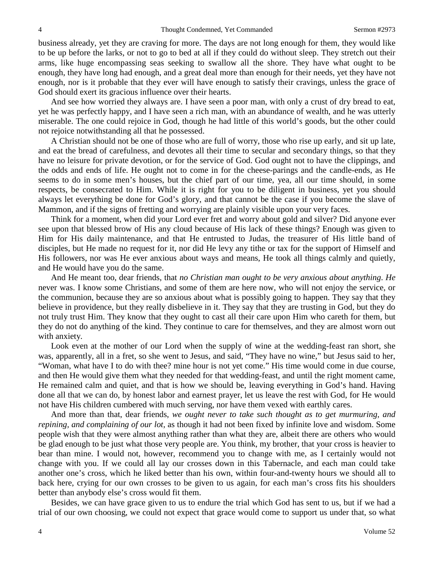business already, yet they are craving for more. The days are not long enough for them, they would like to be up before the larks, or not to go to bed at all if they could do without sleep. They stretch out their arms, like huge encompassing seas seeking to swallow all the shore. They have what ought to be enough, they have long had enough, and a great deal more than enough for their needs, yet they have not enough, nor is it probable that they ever will have enough to satisfy their cravings, unless the grace of God should exert its gracious influence over their hearts.

And see how worried they always are. I have seen a poor man, with only a crust of dry bread to eat, yet he was perfectly happy, and I have seen a rich man, with an abundance of wealth, and he was utterly miserable. The one could rejoice in God, though he had little of this world's goods, but the other could not rejoice notwithstanding all that he possessed.

A Christian should not be one of those who are full of worry, those who rise up early, and sit up late, and eat the bread of carefulness, and devotes all their time to secular and secondary things, so that they have no leisure for private devotion, or for the service of God. God ought not to have the clippings, and the odds and ends of life. He ought not to come in for the cheese-parings and the candle-ends, as He seems to do in some men's houses, but the chief part of our time, yea, all our time should, in some respects, be consecrated to Him. While it is right for you to be diligent in business, yet you should always let everything be done for God's glory, and that cannot be the case if you become the slave of Mammon, and if the signs of fretting and worrying are plainly visible upon your very faces.

Think for a moment, when did your Lord ever fret and worry about gold and silver? Did anyone ever see upon that blessed brow of His any cloud because of His lack of these things? Enough was given to Him for His daily maintenance, and that He entrusted to Judas, the treasurer of His little band of disciples, but He made no request for it, nor did He levy any tithe or tax for the support of Himself and His followers, nor was He ever anxious about ways and means, He took all things calmly and quietly, and He would have you do the same.

And He meant too, dear friends, that *no Christian man ought to be very anxious about anything*. *He* never was. I know some Christians, and some of them are here now, who will not enjoy the service, or the communion, because they are so anxious about what is possibly going to happen. They say that they believe in providence, but they really disbelieve in it. They say that they are trusting in God, but they do not truly trust Him. They know that they ought to cast all their care upon Him who careth for them, but they do not do anything of the kind. They continue to care for themselves, and they are almost worn out with anxiety.

Look even at the mother of our Lord when the supply of wine at the wedding-feast ran short, she was, apparently, all in a fret, so she went to Jesus, and said, "They have no wine," but Jesus said to her, "Woman, what have I to do with thee? mine hour is not yet come." His time would come in due course, and then He would give them what they needed for that wedding-feast, and until the right moment came, He remained calm and quiet, and that is how we should be, leaving everything in God's hand. Having done all that we can do, by honest labor and earnest prayer, let us leave the rest with God, for He would not have His children cumbered with much serving, nor have them vexed with earthly cares.

And more than that, dear friends, *we ought never to take such thought as to get murmuring, and repining, and complaining of our lot,* as though it had not been fixed by infinite love and wisdom. Some people wish that they were almost anything rather than what they are, albeit there are others who would be glad enough to be just what those very people are. You think, my brother, that your cross is heavier to bear than mine. I would not, however, recommend you to change with me, as I certainly would not change with you. If we could all lay our crosses down in this Tabernacle, and each man could take another one's cross, which he liked better than his own, within four-and-twenty hours we should all to back here, crying for our own crosses to be given to us again, for each man's cross fits his shoulders better than anybody else's cross would fit them.

Besides, we can have grace given to us to endure the trial which God has sent to us, but if we had a trial of our own choosing, we could not expect that grace would come to support us under that, so what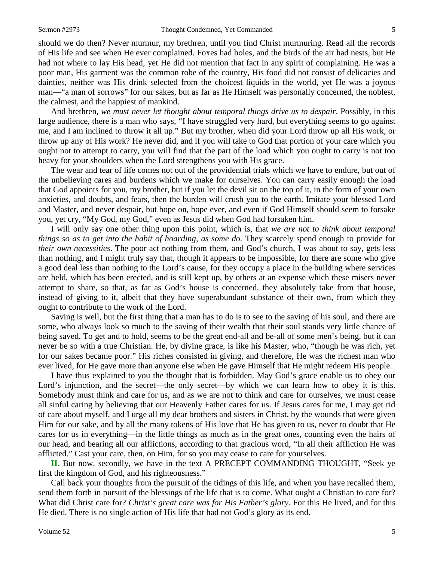should we do then? Never murmur, my brethren, until you find Christ murmuring. Read all the records of His life and see when He ever complained. Foxes had holes, and the birds of the air had nests, but He had not where to lay His head, yet He did not mention that fact in any spirit of complaining. He was a poor man, His garment was the common robe of the country, His food did not consist of delicacies and dainties, neither was His drink selected from the choicest liquids in the world, yet He was a joyous man—"a man of sorrows" for our sakes, but as far as He Himself was personally concerned, the noblest, the calmest, and the happiest of mankind.

And brethren, *we must never let thought about temporal things drive us to despair*. Possibly, in this large audience, there is a man who says, "I have struggled very hard, but everything seems to go against me, and I am inclined to throw it all up." But my brother, when did your Lord throw up all His work, or throw up any of His work? He never did, and if you will take to God that portion of your care which you ought not to attempt to carry, you will find that the part of the load which you ought to carry is not too heavy for your shoulders when the Lord strengthens you with His grace.

The wear and tear of life comes not out of the providential trials which we have to endure, but out of the unbelieving cares and burdens which we make for ourselves. You can carry easily enough the load that God appoints for you, my brother, but if you let the devil sit on the top of it, in the form of your own anxieties, and doubts, and fears, then the burden will crush you to the earth. Imitate your blessed Lord and Master, and never despair, but hope on, hope ever, and even if God Himself should seem to forsake you, yet cry, "My God, my God," even as Jesus did when God had forsaken him.

I will only say one other thing upon this point, which is, that *we are not to think about temporal things so as to get into the habit of hoarding, as some do. They scarcely spend enough to provide for their own necessities*. The poor act nothing from them, and God's church, I was about to say, gets less than nothing, and I might truly say that, though it appears to be impossible, for there are some who give a good deal less than nothing to the Lord's cause, for they occupy a place in the building where services are held, which has been erected, and is still kept up, by others at an expense which these misers never attempt to share, so that, as far as God's house is concerned, they absolutely take from that house, instead of giving to it, albeit that they have superabundant substance of their own, from which they ought to contribute to the work of the Lord.

Saving is well, but the first thing that a man has to do is to see to the saving of his soul, and there are some, who always look so much to the saving of their wealth that their soul stands very little chance of being saved. To get and to hold, seems to be the great end-all and be-all of some men's being, but it can never be so with a true Christian. He, by divine grace, is like his Master, who, "though he was rich, yet for our sakes became poor." His riches consisted in giving, and therefore, He was the richest man who ever lived, for He gave more than anyone else when He gave Himself that He might redeem His people.

I have thus explained to you the thought that is forbidden. May God's grace enable us to obey our Lord's injunction, and the secret—the only secret—by which we can learn how to obey it is this. Somebody must think and care for us, and as we are not to think and care for ourselves, we must cease all sinful caring by believing that our Heavenly Father cares for us. If Jesus cares for me, I may get rid of care about myself, and I urge all my dear brothers and sisters in Christ, by the wounds that were given Him for our sake, and by all the many tokens of His love that He has given to us, never to doubt that He cares for us in everything—in the little things as much as in the great ones, counting even the hairs of our head, and bearing all our afflictions, according to that gracious word, "In all their affliction He was afflicted." Cast your care, then, on Him, for so you may cease to care for yourselves.

**II.** But now, secondly, we have in the text A PRECEPT COMMANDING THOUGHT, "Seek ye first the kingdom of God, and his righteousness."

Call back your thoughts from the pursuit of the tidings of this life, and when you have recalled them, send them forth in pursuit of the blessings of the life that is to come. What ought a Christian to care for? What did Christ care for? *Christ's great care was for His Father's glory*. For this He lived, and for this He died. There is no single action of His life that had not God's glory as its end.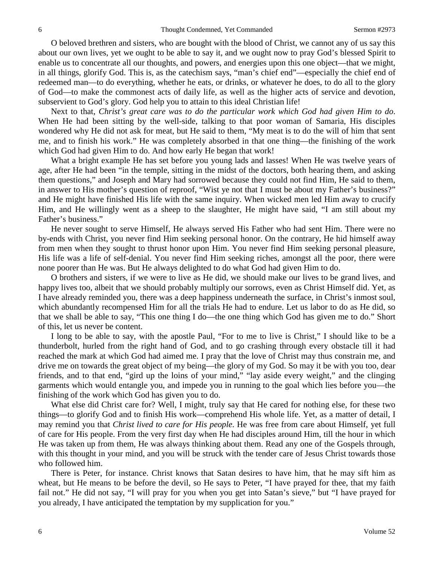O beloved brethren and sisters, who are bought with the blood of Christ, we cannot any of us say this about our own lives, yet we ought to be able to say it, and we ought now to pray God's blessed Spirit to enable us to concentrate all our thoughts, and powers, and energies upon this one object—that we might, in all things, glorify God. This is, as the catechism says, "man's chief end"—especially the chief end of redeemed man—to do everything, whether he eats, or drinks, or whatever he does, to do all to the glory of God—to make the commonest acts of daily life, as well as the higher acts of service and devotion, subservient to God's glory. God help you to attain to this ideal Christian life!

Next to that, *Christ's great care was to do the particular work which God had given Him to do*. When He had been sitting by the well-side, talking to that poor woman of Samaria, His disciples wondered why He did not ask for meat, but He said to them, "My meat is to do the will of him that sent me, and to finish his work." He was completely absorbed in that one thing—the finishing of the work which God had given Him to do. And how early He began that work!

What a bright example He has set before you young lads and lasses! When He was twelve years of age, after He had been "in the temple, sitting in the midst of the doctors, both hearing them, and asking them questions," and Joseph and Mary had sorrowed because they could not find Him, He said to them, in answer to His mother's question of reproof, "Wist ye not that I must be about my Father's business?" and He might have finished His life with the same inquiry. When wicked men led Him away to crucify Him, and He willingly went as a sheep to the slaughter, He might have said, "I am still about my Father's business."

He never sought to serve Himself, He always served His Father who had sent Him. There were no by-ends with Christ, you never find Him seeking personal honor. On the contrary, He hid himself away from men when they sought to thrust honor upon Him. You never find Him seeking personal pleasure, His life was a life of self-denial. You never find Him seeking riches, amongst all the poor, there were none poorer than He was. But He always delighted to do what God had given Him to do.

O brothers and sisters, if we were to live as He did, we should make our lives to be grand lives, and happy lives too, albeit that we should probably multiply our sorrows, even as Christ Himself did. Yet, as I have already reminded you, there was a deep happiness underneath the surface, in Christ's inmost soul, which abundantly recompensed Him for all the trials He had to endure. Let us labor to do as He did, so that we shall be able to say, "This one thing I do—the one thing which God has given me to do." Short of this, let us never be content.

I long to be able to say, with the apostle Paul, "For to me to live is Christ," I should like to be a thunderbolt, hurled from the right hand of God, and to go crashing through every obstacle till it had reached the mark at which God had aimed me. I pray that the love of Christ may thus constrain me, and drive me on towards the great object of my being—the glory of my God. So may it be with you too, dear friends, and to that end, "gird up the loins of your mind," "lay aside every weight," and the clinging garments which would entangle you, and impede you in running to the goal which lies before you—the finishing of the work which God has given you to do.

What else did Christ care for? Well, I might, truly say that He cared for nothing else, for these two things—to glorify God and to finish His work—comprehend His whole life. Yet, as a matter of detail, I may remind you that *Christ lived to care for His people*. He was free from care about Himself, yet full of care for His people. From the very first day when He had disciples around Him, till the hour in which He was taken up from them, He was always thinking about them. Read any one of the Gospels through, with this thought in your mind, and you will be struck with the tender care of Jesus Christ towards those who followed him.

There is Peter, for instance. Christ knows that Satan desires to have him, that he may sift him as wheat, but He means to be before the devil, so He says to Peter, "I have prayed for thee, that my faith fail not." He did not say, "I will pray for you when you get into Satan's sieve," but "I have prayed for you already, I have anticipated the temptation by my supplication for you."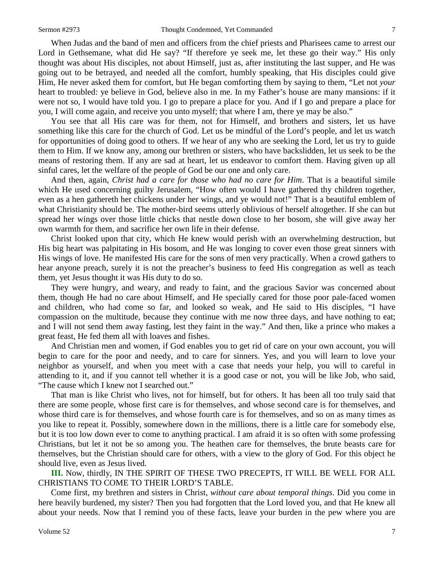When Judas and the band of men and officers from the chief priests and Pharisees came to arrest our Lord in Gethsemane, what did He say? "If therefore ye seek me, let these go their way." His only thought was about His disciples, not about Himself, just as, after instituting the last supper, and He was going out to be betrayed, and needed all the comfort, humbly speaking, that His disciples could give Him, He never asked them for comfort, but He began comforting them by saying to them, "Let not *your* heart to troubled: ye believe in God, believe also in me. In my Father's house are many mansions: if it were not so, I would have told you. I go to prepare a place for you. And if I go and prepare a place for you, I will come again, and receive you unto myself; that where I am, there ye may be also."

You see that all His care was for them, not for Himself, and brothers and sisters, let us have something like this care for the church of God. Let us be mindful of the Lord's people, and let us watch for opportunities of doing good to others. If we hear of any who are seeking the Lord, let us try to guide them to Him. If we know any, among our brethren or sisters, who have backslidden, let us seek to be the means of restoring them. If any are sad at heart, let us endeavor to comfort them. Having given up all sinful cares, let the welfare of the people of God be our one and only care.

And then, again, *Christ had a care for those who had no care for Him*. That is a beautiful simile which He used concerning guilty Jerusalem, "How often would I have gathered thy children together, even as a hen gathereth her chickens under her wings, and ye would not!" That is a beautiful emblem of what Christianity should be. The mother-bird seems utterly oblivious of herself altogether. If she can but spread her wings over those little chicks that nestle down close to her bosom, she will give away her own warmth for them, and sacrifice her own life in their defense.

Christ looked upon that city, which He knew would perish with an overwhelming destruction, but His big heart was palpitating in His bosom, and He was longing to cover even those great sinners with His wings of love. He manifested His care for the sons of men very practically. When a crowd gathers to hear anyone preach, surely it is not the preacher's business to feed His congregation as well as teach them, yet Jesus thought it was His duty to do so.

They were hungry, and weary, and ready to faint, and the gracious Savior was concerned about them, though He had no care about Himself, and He specially cared for those poor pale-faced women and children, who had come so far, and looked so weak, and He said to His disciples, "I have compassion on the multitude, because they continue with me now three days, and have nothing to eat; and I will not send them away fasting, lest they faint in the way." And then, like a prince who makes a great feast, He fed them all with loaves and fishes.

And Christian men and women, if God enables you to get rid of care on your own account, you will begin to care for the poor and needy, and to care for sinners. Yes, and you will learn to love your neighbor as yourself, and when you meet with a case that needs your help, you will to careful in attending to it, and if you cannot tell whether it is a good case or not, you will be like Job, who said, "The cause which I knew not I searched out."

That man is like Christ who lives, not for himself, but for others. It has been all too truly said that there are some people, whose first care is for themselves, and whose second care is for themselves, and whose third care is for themselves, and whose fourth care is for themselves, and so on as many times as you like to repeat it. Possibly, somewhere down in the millions, there is a little care for somebody else, but it is too low down ever to come to anything practical. I am afraid it is so often with some professing Christians, but let it not be so among you. The heathen care for themselves, the brute beasts care for themselves, but the Christian should care for others, with a view to the glory of God. For this object he should live, even as Jesus lived.

**III.** Now, thirdly, IN THE SPIRIT OF THESE TWO PRECEPTS, IT WILL BE WELL FOR ALL CHRISTIANS TO COME TO THEIR LORD'S TABLE.

Come first, my brethren and sisters in Christ, *without care about temporal things*. Did you come in here heavily burdened, my sister? Then you had forgotten that the Lord loved you, and that He knew all about your needs. Now that I remind you of these facts, leave your burden in the pew where you are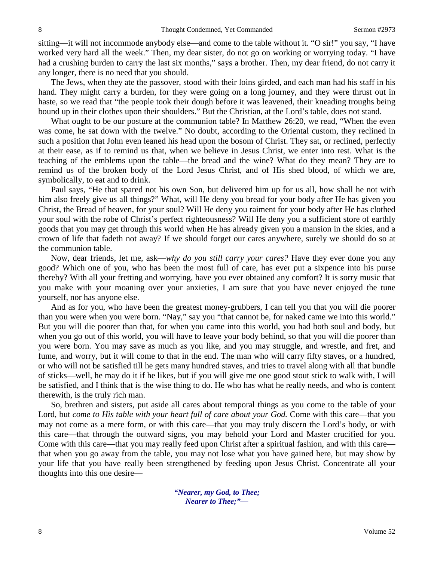sitting—it will not incommode anybody else—and come to the table without it. "O sir!" you say, "I have worked very hard all the week." Then, my dear sister, do not go on working or worrying today. "I have had a crushing burden to carry the last six months," says a brother. Then, my dear friend, do not carry it any longer, there is no need that you should.

The Jews, when they ate the passover, stood with their loins girded, and each man had his staff in his hand. They might carry a burden, for they were going on a long journey, and they were thrust out in haste, so we read that "the people took their dough before it was leavened, their kneading troughs being bound up in their clothes upon their shoulders." But the Christian, at the Lord's table, does not stand.

What ought to be our posture at the communion table? In Matthew 26:20, we read, "When the even was come, he sat down with the twelve." No doubt, according to the Oriental custom, they reclined in such a position that John even leaned his head upon the bosom of Christ. They sat, or reclined, perfectly at their ease, as if to remind us that, when we believe in Jesus Christ, we enter into rest. What is the teaching of the emblems upon the table—the bread and the wine? What do they mean? They are to remind us of the broken body of the Lord Jesus Christ, and of His shed blood, of which we are, symbolically, to eat and to drink.

Paul says, "He that spared not his own Son, but delivered him up for us all, how shall he not with him also freely give us all things?" What, will He deny you bread for your body after He has given you Christ, the Bread of heaven, for your soul? Will He deny you raiment for your body after He has clothed your soul with the robe of Christ's perfect righteousness? Will He deny you a sufficient store of earthly goods that you may get through this world when He has already given you a mansion in the skies, and a crown of life that fadeth not away? If we should forget our cares anywhere, surely we should do so at the communion table.

Now, dear friends, let me, ask—*why do you still carry your cares?* Have they ever done you any good? Which one of you, who has been the most full of care, has ever put a sixpence into his purse thereby? With all your fretting and worrying, have you ever obtained any comfort? It is sorry music that you make with your moaning over your anxieties, I am sure that you have never enjoyed the tune yourself, nor has anyone else.

And as for you, who have been the greatest money-grubbers, I can tell you that you will die poorer than you were when you were born. "Nay," say you "that cannot be, for naked came we into this world." But you will die poorer than that, for when you came into this world, you had both soul and body, but when you go out of this world, you will have to leave your body behind, so that you will die poorer than you were born. You may save as much as you like, and you may struggle, and wrestle, and fret, and fume, and worry, but it will come to that in the end. The man who will carry fifty staves, or a hundred, or who will not be satisfied till he gets many hundred staves, and tries to travel along with all that bundle of sticks—well, he may do it if he likes, but if you will give me one good stout stick to walk with, I will be satisfied, and I think that is the wise thing to do. He who has what he really needs, and who is content therewith, is the truly rich man.

So, brethren and sisters, put aside all cares about temporal things as you come to the table of your Lord, but *come to His table with your heart full of care about your God.* Come with this care—that you may not come as a mere form, or with this care—that you may truly discern the Lord's body, or with this care—that through the outward signs, you may behold your Lord and Master crucified for you. Come with this care—that you may really feed upon Christ after a spiritual fashion, and with this care that when you go away from the table, you may not lose what you have gained here, but may show by your life that you have really been strengthened by feeding upon Jesus Christ. Concentrate all your thoughts into this one desire—

> *"Nearer, my God, to Thee; Nearer to Thee;"—*